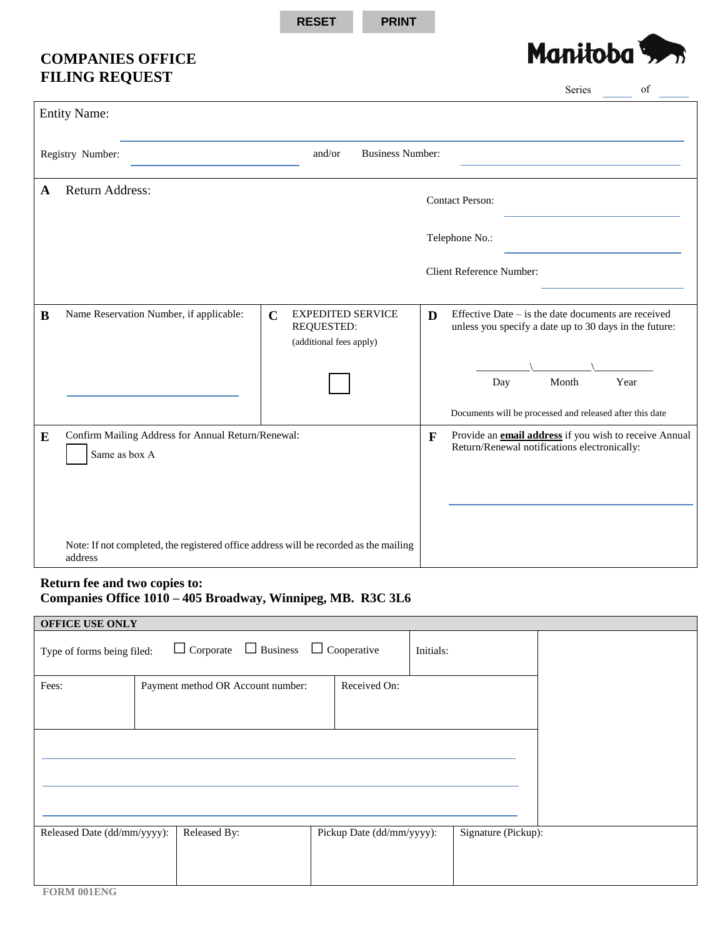**RESET PRINT**

## **COMPANIES OFFICE FILING REQUEST**



|                  |                                                                                                  |                                                                                  |              | Series<br>of                                                                                                    |
|------------------|--------------------------------------------------------------------------------------------------|----------------------------------------------------------------------------------|--------------|-----------------------------------------------------------------------------------------------------------------|
|                  | <b>Entity Name:</b>                                                                              |                                                                                  |              |                                                                                                                 |
| Registry Number: |                                                                                                  | and/or<br><b>Business Number:</b>                                                |              |                                                                                                                 |
| A                | <b>Return Address:</b>                                                                           |                                                                                  |              | <b>Contact Person:</b>                                                                                          |
|                  |                                                                                                  |                                                                                  |              | Telephone No.:                                                                                                  |
|                  |                                                                                                  |                                                                                  |              | <b>Client Reference Number:</b>                                                                                 |
| $\bf{B}$         | Name Reservation Number, if applicable:                                                          | <b>EXPEDITED SERVICE</b><br>$\mathbf C$<br>REQUESTED:<br>(additional fees apply) | D            | Effective Date $-$ is the date documents are received<br>unless you specify a date up to 30 days in the future: |
|                  |                                                                                                  |                                                                                  |              | Month<br>Year<br>Day                                                                                            |
|                  |                                                                                                  |                                                                                  |              | Documents will be processed and released after this date                                                        |
| ${\bf E}$        | Confirm Mailing Address for Annual Return/Renewal:<br>Same as box A                              |                                                                                  | $\mathbf{F}$ | Provide an <b>email address</b> if you wish to receive Annual<br>Return/Renewal notifications electronically:   |
|                  |                                                                                                  |                                                                                  |              |                                                                                                                 |
|                  | Note: If not completed, the registered office address will be recorded as the mailing<br>address |                                                                                  |              |                                                                                                                 |

## **Return fee and two copies to: Companies Office 1010 – 405 Broadway, Winnipeg, MB. R3C 3L6**

| <b>OFFICE USE ONLY</b>      |                                   |                                 |                     |  |  |  |  |  |
|-----------------------------|-----------------------------------|---------------------------------|---------------------|--|--|--|--|--|
| Type of forms being filed:  | $\Box$ Corporate $\Box$ Business  | $\Box$ Cooperative<br>Initials: |                     |  |  |  |  |  |
| Fees:                       | Payment method OR Account number: | Received On:                    |                     |  |  |  |  |  |
|                             |                                   |                                 |                     |  |  |  |  |  |
|                             |                                   |                                 |                     |  |  |  |  |  |
| Released Date (dd/mm/yyyy): | Released By:                      | Pickup Date (dd/mm/yyyy):       | Signature (Pickup): |  |  |  |  |  |